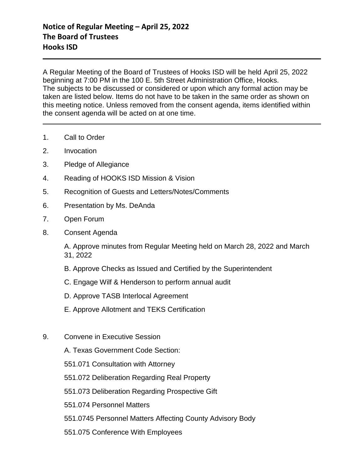A Regular Meeting of the Board of Trustees of Hooks ISD will be held April 25, 2022 beginning at 7:00 PM in the 100 E. 5th Street Administration Office, Hooks. The subjects to be discussed or considered or upon which any formal action may be taken are listed below. Items do not have to be taken in the same order as shown on this meeting notice. Unless removed from the consent agenda, items identified within the consent agenda will be acted on at one time.

- 1. Call to Order
- 2. Invocation
- 3. Pledge of Allegiance
- 4. Reading of HOOKS ISD Mission & Vision
- 5. Recognition of Guests and Letters/Notes/Comments
- 6. Presentation by Ms. DeAnda
- 7. Open Forum
- 8. Consent Agenda

A. Approve minutes from Regular Meeting held on March 28, 2022 and March 31, 2022

- B. Approve Checks as Issued and Certified by the Superintendent
- C. Engage Wilf & Henderson to perform annual audit
- D. Approve TASB Interlocal Agreement
- E. Approve Allotment and TEKS Certification
- 9. Convene in Executive Session
	- A. Texas Government Code Section:
	- 551.071 Consultation with Attorney
	- 551.072 Deliberation Regarding Real Property
	- 551.073 Deliberation Regarding Prospective Gift
	- 551.074 Personnel Matters
	- 551.0745 Personnel Matters Affecting County Advisory Body
	- 551.075 Conference With Employees